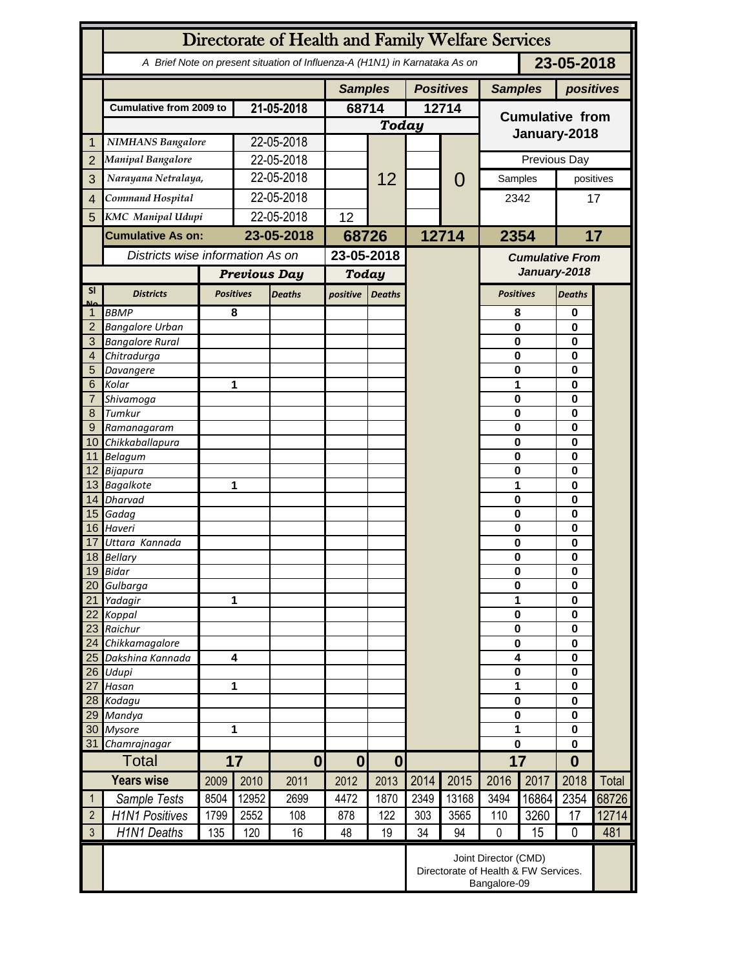|                                  | Directorate of Health and Family Welfare Services                                        |                                                              |                         |                |              |                  |           |                |                                        |                                   |                      |             |  |
|----------------------------------|------------------------------------------------------------------------------------------|--------------------------------------------------------------|-------------------------|----------------|--------------|------------------|-----------|----------------|----------------------------------------|-----------------------------------|----------------------|-------------|--|
|                                  | 23-05-2018<br>A Brief Note on present situation of Influenza-A (H1N1) in Karnataka As on |                                                              |                         |                |              |                  |           |                |                                        |                                   |                      |             |  |
|                                  |                                                                                          |                                                              |                         | <b>Samples</b> |              | <b>Positives</b> |           | <b>Samples</b> |                                        | positives                         |                      |             |  |
|                                  | <b>Cumulative from 2009 to</b>                                                           |                                                              | 21-05-2018              |                | 68714        |                  | 12714     |                | <b>Cumulative from</b>                 |                                   |                      |             |  |
|                                  |                                                                                          |                                                              |                         |                | <b>Today</b> |                  |           |                |                                        |                                   |                      |             |  |
| 1                                | <b>NIMHANS Bangalore</b>                                                                 |                                                              | 22-05-2018              |                |              |                  |           |                | January-2018                           |                                   |                      |             |  |
| $\overline{2}$                   | <b>Manipal Bangalore</b>                                                                 |                                                              | 22-05-2018              |                |              |                  |           |                | Previous Day                           |                                   |                      |             |  |
| 3                                | Narayana Netralaya,                                                                      |                                                              | 22-05-2018              |                |              | 12               |           | $\mathcal{O}$  | Samples                                |                                   | positives            |             |  |
| $\overline{4}$                   | Command Hospital                                                                         |                                                              | 22-05-2018              |                |              |                  |           |                | 2342                                   |                                   | 17                   |             |  |
|                                  |                                                                                          |                                                              | 22-05-2018              |                |              |                  |           |                |                                        |                                   |                      |             |  |
| 5                                | <b>KMC</b> Manipal Udupi                                                                 |                                                              |                         |                | 12           |                  |           |                |                                        |                                   |                      |             |  |
|                                  | <b>Cumulative As on:</b>                                                                 |                                                              | 23-05-2018              |                | 68726        |                  | 12714     |                | 2354                                   |                                   | 17                   |             |  |
|                                  | Districts wise information As on                                                         |                                                              |                         |                | 23-05-2018   |                  |           |                | <b>Cumulative From</b><br>January-2018 |                                   |                      |             |  |
|                                  |                                                                                          |                                                              | <b>Previous Day</b>     |                | <b>Today</b> |                  |           |                |                                        |                                   |                      |             |  |
| <b>SI</b>                        | <b>Districts</b>                                                                         | <b>Positives</b>                                             | <b>Deaths</b>           |                | positive     | <b>Deaths</b>    |           |                |                                        | <b>Positives</b><br><b>Deaths</b> |                      |             |  |
| Mz                               | <b>BBMP</b>                                                                              |                                                              | 8                       |                |              |                  |           |                | 8                                      |                                   | 0                    |             |  |
| $\overline{2}$                   | <b>Bangalore Urban</b>                                                                   |                                                              |                         |                |              |                  |           |                | $\mathbf{0}$                           |                                   | 0                    |             |  |
| 3                                | <b>Bangalore Rural</b>                                                                   |                                                              |                         |                |              |                  |           |                | 0                                      |                                   | $\bf{0}$             |             |  |
| 4                                | Chitradurga                                                                              |                                                              |                         |                |              |                  |           |                | 0                                      |                                   | 0                    |             |  |
| 5                                | Davangere                                                                                |                                                              |                         |                |              |                  |           |                | 0                                      |                                   | 0                    |             |  |
| 6<br>7                           | Kolar<br>Shivamoga                                                                       |                                                              |                         | 1              |              |                  |           |                | 1<br>$\mathbf 0$                       |                                   |                      | 0<br>0<br>0 |  |
| 8                                | Tumkur                                                                                   |                                                              |                         |                |              |                  |           |                | $\mathbf 0$                            |                                   |                      |             |  |
| 9                                |                                                                                          | Ramanagaram                                                  |                         |                |              |                  |           |                | $\mathbf 0$                            |                                   | 0                    |             |  |
| 10 <sup>°</sup>                  | Chikkaballapura                                                                          |                                                              |                         |                |              |                  |           |                | 0                                      |                                   | 0                    |             |  |
|                                  | 11 Belagum                                                                               |                                                              |                         |                |              |                  |           |                | 0                                      |                                   | 0                    |             |  |
|                                  | 12 Bijapura                                                                              |                                                              |                         |                |              |                  |           |                | 0                                      | $\bf{0}$<br>$\bf{0}$              |                      |             |  |
|                                  | 13 Bagalkote                                                                             |                                                              |                         | 1              |              |                  |           |                | 1                                      |                                   |                      |             |  |
|                                  | 14 Dharvad                                                                               |                                                              |                         |                |              |                  |           |                | $\mathbf 0$<br>$\mathbf 0$             |                                   | 0<br>0               |             |  |
|                                  | 15 Gadag<br>16 Haveri                                                                    |                                                              |                         |                |              |                  |           |                | $\mathbf 0$                            |                                   | $\bf{0}$             |             |  |
| 17                               | Uttara Kannada                                                                           |                                                              |                         |                |              |                  |           |                | 0                                      |                                   | 0                    |             |  |
|                                  | 18 Bellary                                                                               |                                                              |                         |                |              |                  |           |                | 0                                      |                                   | 0                    |             |  |
|                                  | 19 Bidar                                                                                 |                                                              |                         |                |              |                  |           |                | $\pmb{0}$                              |                                   | 0                    |             |  |
| 20                               | Gulbarga                                                                                 |                                                              |                         |                |              |                  |           |                | $\bf{0}$                               |                                   | 0                    |             |  |
| 21                               | Yadagir                                                                                  | 1                                                            |                         |                |              |                  |           |                | 1                                      |                                   | 0<br>$\bf{0}$        |             |  |
| 22<br>23                         | Koppal<br>Raichur                                                                        |                                                              |                         |                |              |                  |           |                |                                        | $\bf{0}$<br>$\bf{0}$              |                      |             |  |
| 24                               | Chikkamagalore                                                                           |                                                              |                         |                |              |                  |           |                | $\bf{0}$                               |                                   | $\bf{0}$<br>$\bf{0}$ |             |  |
| 25                               | Dakshina Kannada                                                                         |                                                              | $\overline{\mathbf{4}}$ |                |              |                  |           |                | 4                                      |                                   | $\bf{0}$             |             |  |
| 26                               | Udupi                                                                                    |                                                              |                         |                |              |                  |           |                | $\pmb{0}$                              |                                   | $\bf{0}$             |             |  |
| 27                               | Hasan                                                                                    |                                                              |                         | 1              |              |                  |           |                | 1                                      | $\bf{0}$                          |                      |             |  |
|                                  | 28 Kodagu                                                                                |                                                              |                         |                |              |                  |           |                | $\pmb{0}$                              | $\bf{0}$                          |                      |             |  |
| 29                               | Mandya                                                                                   |                                                              | 1                       |                |              |                  |           |                | $\bf{0}$                               |                                   | $\bf{0}$             |             |  |
| 30<br>31                         | <b>Mysore</b>                                                                            | Chamrajnagar                                                 |                         |                |              |                  |           |                | 1<br>0                                 |                                   | $\bf{0}$<br>$\bf{0}$ |             |  |
|                                  | <b>Total</b>                                                                             |                                                              | 17<br>$\mathbf{0}$      |                | $\bf{0}$     | $\boldsymbol{0}$ |           |                | 17                                     |                                   | $\bf{0}$             |             |  |
|                                  | <b>Years wise</b>                                                                        | 2009                                                         | 2010                    | 2011           | 2012         | 2013             | 2014      | 2015           | 2016                                   | 2017                              | 2018                 | Total       |  |
| $\mathbf{1}$                     |                                                                                          |                                                              | 12952                   |                | 4472         |                  |           |                |                                        | 16864                             | 2354                 | 68726       |  |
|                                  | Sample Tests                                                                             | 8504                                                         |                         | 2699           |              | 1870             | 2349      | 13168          | 3494                                   |                                   |                      |             |  |
| $\overline{2}$<br>$\mathfrak{Z}$ | <b>H1N1 Positives</b>                                                                    | 1799                                                         | 2552                    | 108            | 878          | 122<br>19        | 303<br>34 | 3565           | 110<br>$\mathbf 0$                     | 3260                              | 17<br>$\mathbf 0$    | 12714       |  |
|                                  | H1N1 Deaths                                                                              | 135                                                          | 120                     | 16             | 48           |                  |           | 94             |                                        | 15                                |                      | 481         |  |
|                                  |                                                                                          | Joint Director (CMD)<br>Directorate of Health & FW Services. |                         |                |              |                  |           |                |                                        |                                   |                      |             |  |
|                                  |                                                                                          | Bangalore-09                                                 |                         |                |              |                  |           |                |                                        |                                   |                      |             |  |